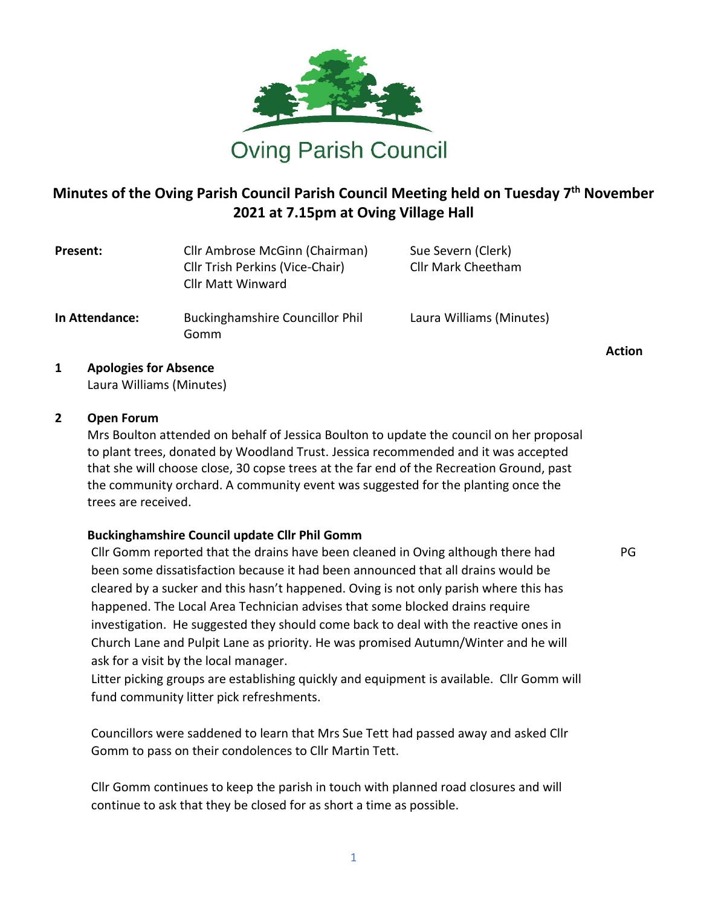

# **Minutes of the Oving Parish Council Parish Council Meeting held on Tuesday 7 th November 2021 at 7.15pm at Oving Village Hall**

| Present:       | Cllr Ambrose McGinn (Chairman)<br>Cllr Trish Perkins (Vice-Chair)<br><b>Cllr Matt Winward</b> | Sue Severn (Clerk)<br><b>Cllr Mark Cheetham</b> |
|----------------|-----------------------------------------------------------------------------------------------|-------------------------------------------------|
| In Attendance: | <b>Buckinghamshire Councillor Phil</b><br>Gomm                                                | Laura Williams (Minutes)                        |

**1 Apologies for Absence** Laura Williams (Minutes)

#### **2 Open Forum**

Mrs Boulton attended on behalf of Jessica Boulton to update the council on her proposal to plant trees, donated by Woodland Trust. Jessica recommended and it was accepted that she will choose close, 30 copse trees at the far end of the Recreation Ground, past the community orchard. A community event was suggested for the planting once the trees are received.

## **Buckinghamshire Council update Cllr Phil Gomm**

1. Cllr Gomm reported that the drains have been cleaned in Oving although there had been some dissatisfaction because it had been announced that all drains would be cleared by a sucker and this hasn't happened. Oving is not only parish where this has happened. The Local Area Technician advises that some blocked drains require investigation. He suggested they should come back to deal with the reactive ones in Church Lane and Pulpit Lane as priority. He was promised Autumn/Winter and he will ask for a visit by the local manager.

Litter picking groups are establishing quickly and equipment is available. Cllr Gomm will fund community litter pick refreshments.

Councillors were saddened to learn that Mrs Sue Tett had passed away and asked Cllr Gomm to pass on their condolences to Cllr Martin Tett.

Cllr Gomm continues to keep the parish in touch with planned road closures and will continue to ask that they be closed for as short a time as possible.

**Action**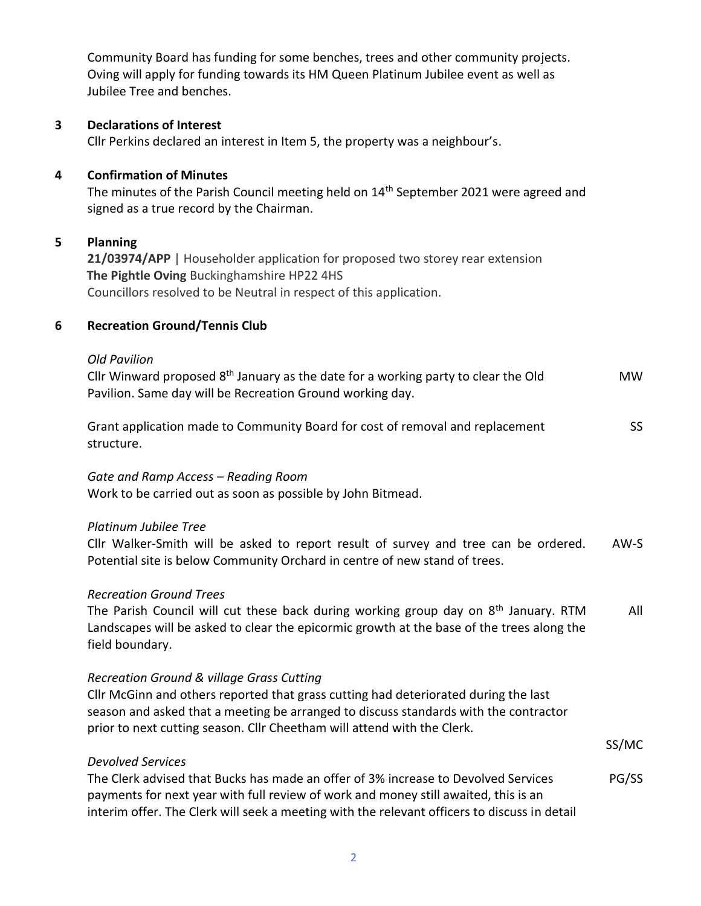Community Board has funding for some benches, trees and other community projects. Oving will apply for funding towards its HM Queen Platinum Jubilee event as well as Jubilee Tree and benches.

# **3 Declarations of Interest**

Cllr Perkins declared an interest in Item 5, the property was a neighbour's.

## **4 Confirmation of Minutes**

The minutes of the Parish Council meeting held on 14<sup>th</sup> September 2021 were agreed and signed as a true record by the Chairman.

# **5 Planning**

**21/03974/APP** | Householder application for proposed two storey rear extension **The Pightle Oving** Buckinghamshire HP22 4HS Councillors resolved to be Neutral in respect of this application.

## **6 Recreation Ground/Tennis Club**

#### *Old Pavilion*

Cllr Winward proposed 8th January as the date for a working party to clear the Old Pavilion. Same day will be Recreation Ground working day. MW

| Grant application made to Community Board for cost of removal and replacement |  |  |
|-------------------------------------------------------------------------------|--|--|
| structure.                                                                    |  |  |

## *Gate and Ramp Access – Reading Room*

Work to be carried out as soon as possible by John Bitmead.

## *Platinum Jubilee Tree*

Cllr Walker-Smith will be asked to report result of survey and tree can be ordered. Potential site is below Community Orchard in centre of new stand of trees. AW-S

## *Recreation Ground Trees*

*Devolved Services*

The Parish Council will cut these back during working group day on 8<sup>th</sup> January. RTM Landscapes will be asked to clear the epicormic growth at the base of the trees along the field boundary. All

## *Recreation Ground & village Grass Cutting*

Cllr McGinn and others reported that grass cutting had deteriorated during the last season and asked that a meeting be arranged to discuss standards with the contractor prior to next cutting season. Cllr Cheetham will attend with the Clerk.

SS/MC

| <i>DEVOIVED SEIVILES</i>                                                                     |       |
|----------------------------------------------------------------------------------------------|-------|
| The Clerk advised that Bucks has made an offer of 3% increase to Devolved Services           | PG/SS |
| payments for next year with full review of work and money still awaited, this is an          |       |
| interim offer. The Clerk will seek a meeting with the relevant officers to discuss in detail |       |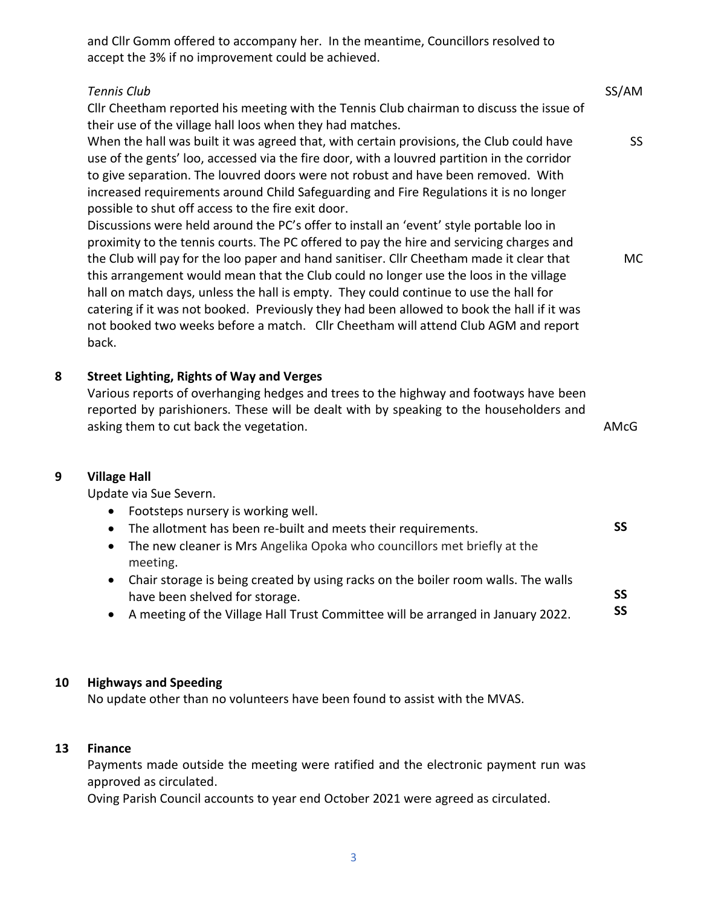and Cllr Gomm offered to accompany her. In the meantime, Councillors resolved to accept the 3% if no improvement could be achieved.

#### *Tennis Club*

Cllr Cheetham reported his meeting with the Tennis Club chairman to discuss the issue of their use of the village hall loos when they had matches.

When the hall was built it was agreed that, with certain provisions, the Club could have use of the gents' loo, accessed via the fire door, with a louvred partition in the corridor to give separation. The louvred doors were not robust and have been removed. With increased requirements around Child Safeguarding and Fire Regulations it is no longer possible to shut off access to the fire exit door.

Discussions were held around the PC's offer to install an 'event' style portable loo in proximity to the tennis courts. The PC offered to pay the hire and servicing charges and the Club will pay for the loo paper and hand sanitiser. Cllr Cheetham made it clear that this arrangement would mean that the Club could no longer use the loos in the village hall on match days, unless the hall is empty. They could continue to use the hall for catering if it was not booked. Previously they had been allowed to book the hall if it was not booked two weeks before a match. Cllr Cheetham will attend Club AGM and report back.

# **8 Street Lighting, Rights of Way and Verges**

Various reports of overhanging hedges and trees to the highway and footways have been reported by parishioners. These will be dealt with by speaking to the householders and asking them to cut back the vegetation.

AMcG

**SS**

SS/AM

SS

MC

#### **9 Village Hall**

Update via Sue Severn.

- Footsteps nursery is working well.
- The allotment has been re-built and meets their requirements. **SS**
- The new cleaner is Mrs Angelika Opoka who councillors met briefly at the meeting.
- Chair storage is being created by using racks on the boiler room walls. The walls have been shelved for storage.
- A meeting of the Village Hall Trust Committee will be arranged in January 2022. **SS**

#### **10 Highways and Speeding**

No update other than no volunteers have been found to assist with the MVAS.

#### **13 Finance**

Payments made outside the meeting were ratified and the electronic payment run was approved as circulated.

Oving Parish Council accounts to year end October 2021 were agreed as circulated.